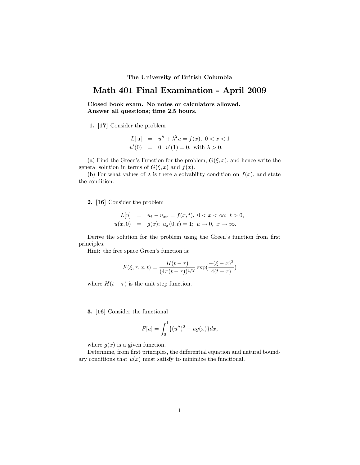## The University of British Columbia

## Math 401 Final Examination - April 2009

Closed book exam. No notes or calculators allowed. Answer all questions; time 2.5 hours.

1. [17] Consider the problem

$$
L[u] = u'' + \lambda^2 u = f(x), \ 0 < x < 1
$$
\n
$$
u'(0) = 0; \ u'(1) = 0, \ \text{with} \ \lambda > 0.
$$

(a) Find the Green's Function for the problem,  $G(\xi, x)$ , and hence write the general solution in terms of  $G(\xi, x)$  and  $f(x)$ .

(b) For what values of  $\lambda$  is there a solvability condition on  $f(x)$ , and state the condition.

2. [16] Consider the problem

$$
L[u] = u_t - u_{xx} = f(x, t), \ 0 < x < \infty; \ t > 0, \\
u(x, 0) = g(x); \ u_x(0, t) = 1; \ u \to 0, \ x \to \infty.
$$

Derive the solution for the problem using the Green's function from first principles.

Hint: the free space Green's function is:

$$
F(\xi, \tau, x, t) = \frac{H(t - \tau)}{(4\pi(t - \tau))^{1/2}} \exp(\frac{-(\xi - x)^2}{4(t - \tau)})
$$

where  $H(t - \tau)$  is the unit step function.

3. [16] Consider the functional

$$
F[u] = \int_0^1 \{ (u'')^2 - ug(x) \} dx,
$$

where  $g(x)$  is a given function.

Determine, from first principles, the differential equation and natural boundary conditions that  $u(x)$  must satisfy to minimize the functional.